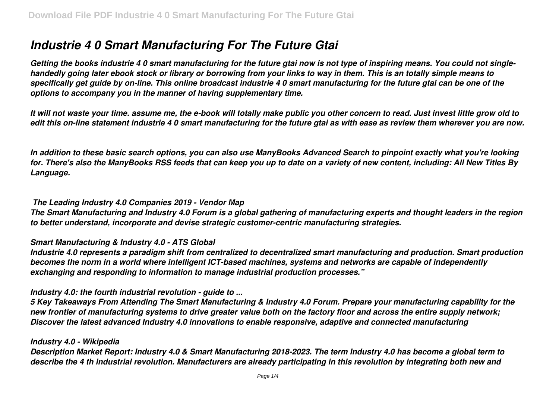# *Industrie 4 0 Smart Manufacturing For The Future Gtai*

*Getting the books industrie 4 0 smart manufacturing for the future gtai now is not type of inspiring means. You could not singlehandedly going later ebook stock or library or borrowing from your links to way in them. This is an totally simple means to specifically get guide by on-line. This online broadcast industrie 4 0 smart manufacturing for the future gtai can be one of the options to accompany you in the manner of having supplementary time.*

*It will not waste your time. assume me, the e-book will totally make public you other concern to read. Just invest little grow old to edit this on-line statement industrie 4 0 smart manufacturing for the future gtai as with ease as review them wherever you are now.*

*In addition to these basic search options, you can also use ManyBooks Advanced Search to pinpoint exactly what you're looking for. There's also the ManyBooks RSS feeds that can keep you up to date on a variety of new content, including: All New Titles By Language.*

### *The Leading Industry 4.0 Companies 2019 - Vendor Map*

*The Smart Manufacturing and Industry 4.0 Forum is a global gathering of manufacturing experts and thought leaders in the region to better understand, incorporate and devise strategic customer-centric manufacturing strategies.*

### *Smart Manufacturing & Industry 4.0 - ATS Global*

*Industrie 4.0 represents a paradigm shift from centralized to decentralized smart manufacturing and production. Smart production becomes the norm in a world where intelligent ICT-based machines, systems and networks are capable of independently exchanging and responding to information to manage industrial production processes."*

### *Industry 4.0: the fourth industrial revolution - guide to ...*

*5 Key Takeaways From Attending The Smart Manufacturing & Industry 4.0 Forum. Prepare your manufacturing capability for the new frontier of manufacturing systems to drive greater value both on the factory floor and across the entire supply network; Discover the latest advanced Industry 4.0 innovations to enable responsive, adaptive and connected manufacturing*

### *Industry 4.0 - Wikipedia*

*Description Market Report: Industry 4.0 & Smart Manufacturing 2018-2023. The term Industry 4.0 has become a global term to describe the 4 th industrial revolution. Manufacturers are already participating in this revolution by integrating both new and*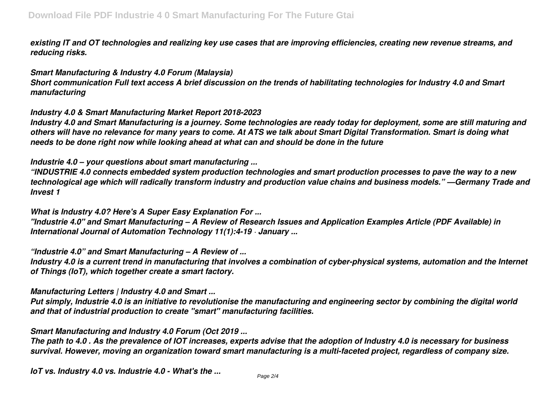*existing IT and OT technologies and realizing key use cases that are improving efficiencies, creating new revenue streams, and reducing risks.*

## *Smart Manufacturing & Industry 4.0 Forum (Malaysia)*

*Short communication Full text access A brief discussion on the trends of habilitating technologies for Industry 4.0 and Smart manufacturing*

## *Industry 4.0 & Smart Manufacturing Market Report 2018-2023*

*Industry 4.0 and Smart Manufacturing is a journey. Some technologies are ready today for deployment, some are still maturing and others will have no relevance for many years to come. At ATS we talk about Smart Digital Transformation. Smart is doing what needs to be done right now while looking ahead at what can and should be done in the future*

## *Industrie 4.0 – your questions about smart manufacturing ...*

*"INDUSTRIE 4.0 connects embedded system production technologies and smart production processes to pave the way to a new technological age which will radically transform industry and production value chains and business models." —Germany Trade and Invest 1*

## *What is Industry 4.0? Here's A Super Easy Explanation For ... "Industrie 4.0" and Smart Manufacturing – A Review of Research Issues and Application Examples Article (PDF Available) in International Journal of Automation Technology 11(1):4-19 · January ...*

*"Industrie 4.0" and Smart Manufacturing – A Review of ...*

*Industry 4.0 is a current trend in manufacturing that involves a combination of cyber-physical systems, automation and the Internet of Things (IoT), which together create a smart factory.*

# *Manufacturing Letters | Industry 4.0 and Smart ...*

*Put simply, Industrie 4.0 is an initiative to revolutionise the manufacturing and engineering sector by combining the digital world and that of industrial production to create "smart" manufacturing facilities.*

# *Smart Manufacturing and Industry 4.0 Forum (Oct 2019 ...*

*The path to 4.0 . As the prevalence of IOT increases, experts advise that the adoption of Industry 4.0 is necessary for business survival. However, moving an organization toward smart manufacturing is a multi-faceted project, regardless of company size.*

*IoT vs. Industry 4.0 vs. Industrie 4.0 - What's the ...*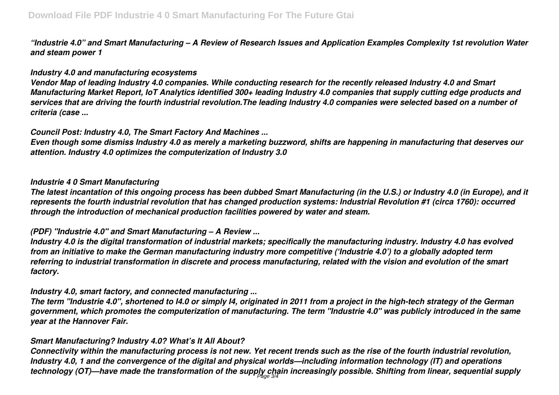*"Industrie 4.0" and Smart Manufacturing – A Review of Research Issues and Application Examples Complexity 1st revolution Water and steam power 1*

### *Industry 4.0 and manufacturing ecosystems*

*Vendor Map of leading Industry 4.0 companies. While conducting research for the recently released Industry 4.0 and Smart Manufacturing Market Report, IoT Analytics identified 300+ leading Industry 4.0 companies that supply cutting edge products and services that are driving the fourth industrial revolution.The leading Industry 4.0 companies were selected based on a number of criteria (case ...*

## *Council Post: Industry 4.0, The Smart Factory And Machines ...*

*Even though some dismiss Industry 4.0 as merely a marketing buzzword, shifts are happening in manufacturing that deserves our attention. Industry 4.0 optimizes the computerization of Industry 3.0*

### *Industrie 4 0 Smart Manufacturing*

*The latest incantation of this ongoing process has been dubbed Smart Manufacturing (in the U.S.) or Industry 4.0 (in Europe), and it represents the fourth industrial revolution that has changed production systems: Industrial Revolution #1 (circa 1760): occurred through the introduction of mechanical production facilities powered by water and steam.*

# *(PDF) "Industrie 4.0" and Smart Manufacturing – A Review ...*

*Industry 4.0 is the digital transformation of industrial markets; specifically the manufacturing industry. Industry 4.0 has evolved from an initiative to make the German manufacturing industry more competitive ('Industrie 4.0') to a globally adopted term referring to industrial transformation in discrete and process manufacturing, related with the vision and evolution of the smart factory.*

# *Industry 4.0, smart factory, and connected manufacturing ...*

*The term "Industrie 4.0", shortened to I4.0 or simply I4, originated in 2011 from a project in the high-tech strategy of the German government, which promotes the computerization of manufacturing. The term "Industrie 4.0" was publicly introduced in the same year at the Hannover Fair.*

# *Smart Manufacturing? Industry 4.0? What's It All About?*

*Connectivity within the manufacturing process is not new. Yet recent trends such as the rise of the fourth industrial revolution, Industry 4.0, 1 and the convergence of the digital and physical worlds—including information technology (IT) and operations technology (OT)—have made the transformation of the supply chain increasingly possible. Shifting from linear, sequential supply* Page 3/4